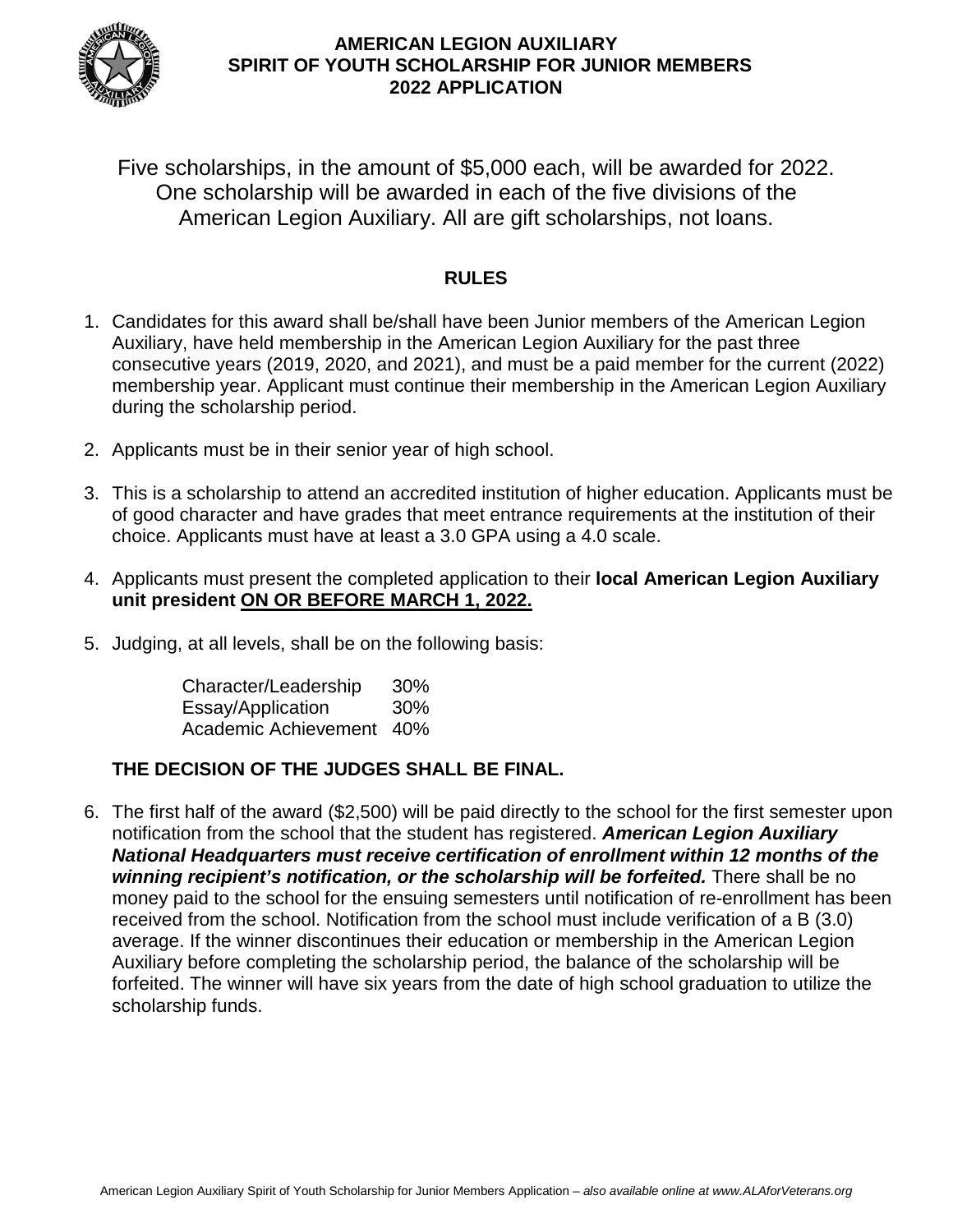

Five scholarships, in the amount of \$5,000 each, will be awarded for 2022. One scholarship will be awarded in each of the five divisions of the American Legion Auxiliary. All are gift scholarships, not loans.

### **RULES**

- 1. Candidates for this award shall be/shall have been Junior members of the American Legion Auxiliary, have held membership in the American Legion Auxiliary for the past three consecutive years (2019, 2020, and 2021), and must be a paid member for the current (2022) membership year. Applicant must continue their membership in the American Legion Auxiliary during the scholarship period.
- 2. Applicants must be in their senior year of high school.
- 3. This is a scholarship to attend an accredited institution of higher education. Applicants must be of good character and have grades that meet entrance requirements at the institution of their choice. Applicants must have at least a 3.0 GPA using a 4.0 scale.
- 4. Applicants must present the completed application to their **local American Legion Auxiliary unit president ON OR BEFORE MARCH 1, 2022.**
- 5. Judging, at all levels, shall be on the following basis:

| Character/Leadership     | 30% |
|--------------------------|-----|
| Essay/Application        | 30% |
| Academic Achievement 40% |     |

## **THE DECISION OF THE JUDGES SHALL BE FINAL.**

6. The first half of the award (\$2,500) will be paid directly to the school for the first semester upon notification from the school that the student has registered. *American Legion Auxiliary National Headquarters must receive certification of enrollment within 12 months of the winning recipient's notification, or the scholarship will be forfeited.* There shall be no money paid to the school for the ensuing semesters until notification of re-enrollment has been received from the school. Notification from the school must include verification of a B (3.0) average. If the winner discontinues their education or membership in the American Legion Auxiliary before completing the scholarship period, the balance of the scholarship will be forfeited. The winner will have six years from the date of high school graduation to utilize the scholarship funds.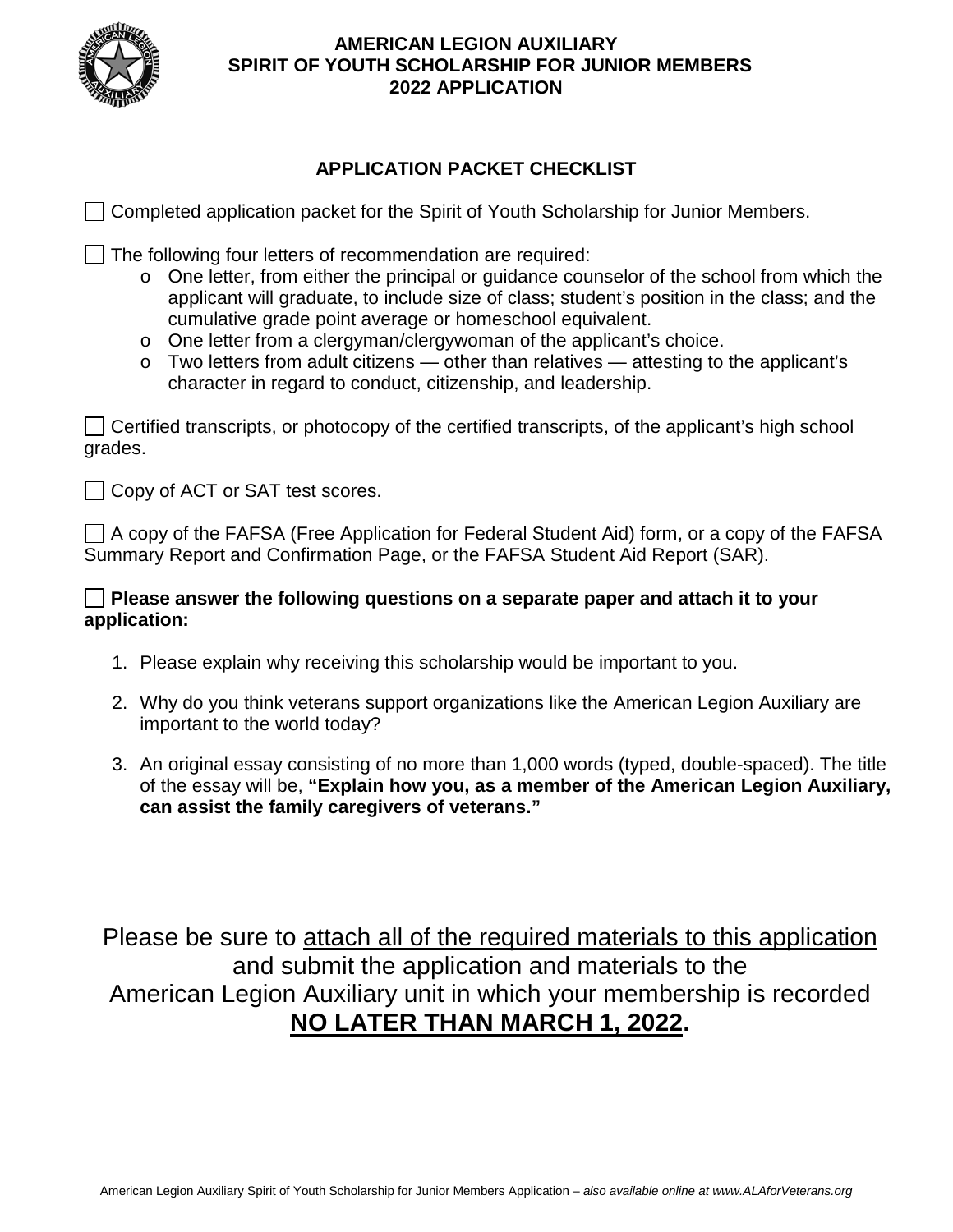

# **APPLICATION PACKET CHECKLIST**

Completed application packet for the Spirit of Youth Scholarship for Junior Members.

The following four letters of recommendation are required:

- o One letter, from either the principal or guidance counselor of the school from which the applicant will graduate, to include size of class; student's position in the class; and the cumulative grade point average or homeschool equivalent.
- o One letter from a clergyman/clergywoman of the applicant's choice.
- o Two letters from adult citizens other than relatives attesting to the applicant's character in regard to conduct, citizenship, and leadership.

 $\Box$  Certified transcripts, or photocopy of the certified transcripts, of the applicant's high school grades.

Copy of ACT or SAT test scores.

 $\Box$  A copy of the FAFSA (Free Application for Federal Student Aid) form, or a copy of the FAFSA Summary Report and Confirmation Page, or the FAFSA Student Aid Report (SAR).

### **Please answer the following questions on a separate paper and attach it to your application:**

- 1. Please explain why receiving this scholarship would be important to you.
- 2. Why do you think veterans support organizations like the American Legion Auxiliary are important to the world today?
- 3. An original essay consisting of no more than 1,000 words (typed, double-spaced). The title of the essay will be, **"Explain how you, as a member of the American Legion Auxiliary, can assist the family caregivers of veterans."**

Please be sure to attach all of the required materials to this application and submit the application and materials to the American Legion Auxiliary unit in which your membership is recorded **NO LATER THAN MARCH 1, 2022.**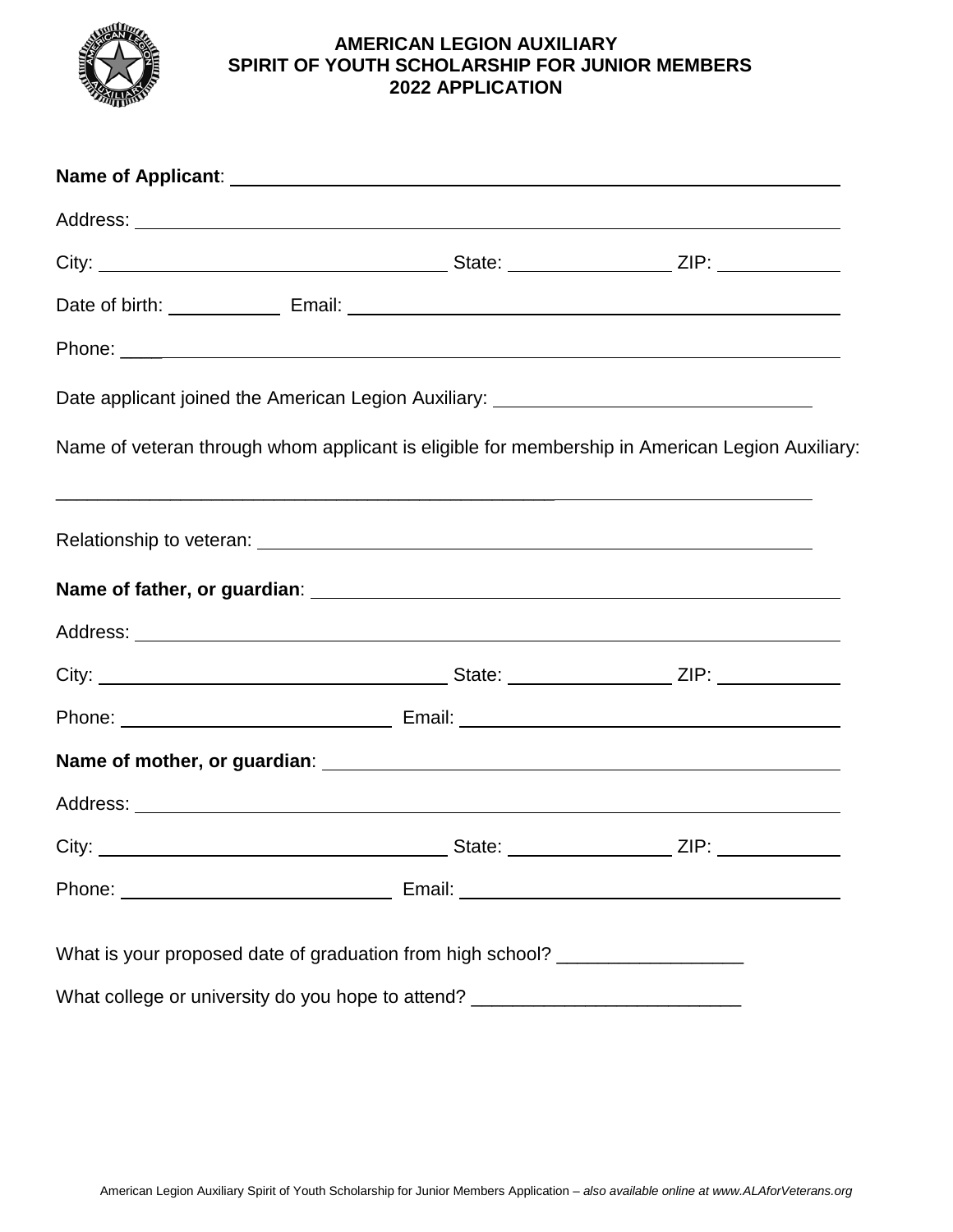

|                                                                                  |                                                                                  | Date applicant joined the American Legion Auxiliary: ___________________________                                                                                                                                                     |
|----------------------------------------------------------------------------------|----------------------------------------------------------------------------------|--------------------------------------------------------------------------------------------------------------------------------------------------------------------------------------------------------------------------------------|
|                                                                                  |                                                                                  | Name of veteran through whom applicant is eligible for membership in American Legion Auxiliary:                                                                                                                                      |
|                                                                                  |                                                                                  |                                                                                                                                                                                                                                      |
|                                                                                  |                                                                                  | Name of father, or guardian: <b>with the control of the control of the control of the control of the control of the control of the control of the control of the control of the control of the control of the control of the con</b> |
|                                                                                  |                                                                                  |                                                                                                                                                                                                                                      |
|                                                                                  |                                                                                  |                                                                                                                                                                                                                                      |
|                                                                                  |                                                                                  |                                                                                                                                                                                                                                      |
|                                                                                  |                                                                                  |                                                                                                                                                                                                                                      |
|                                                                                  |                                                                                  |                                                                                                                                                                                                                                      |
|                                                                                  |                                                                                  |                                                                                                                                                                                                                                      |
|                                                                                  |                                                                                  |                                                                                                                                                                                                                                      |
| What is your proposed date of graduation from high school? _____________________ |                                                                                  |                                                                                                                                                                                                                                      |
|                                                                                  | What college or university do you hope to attend? ______________________________ |                                                                                                                                                                                                                                      |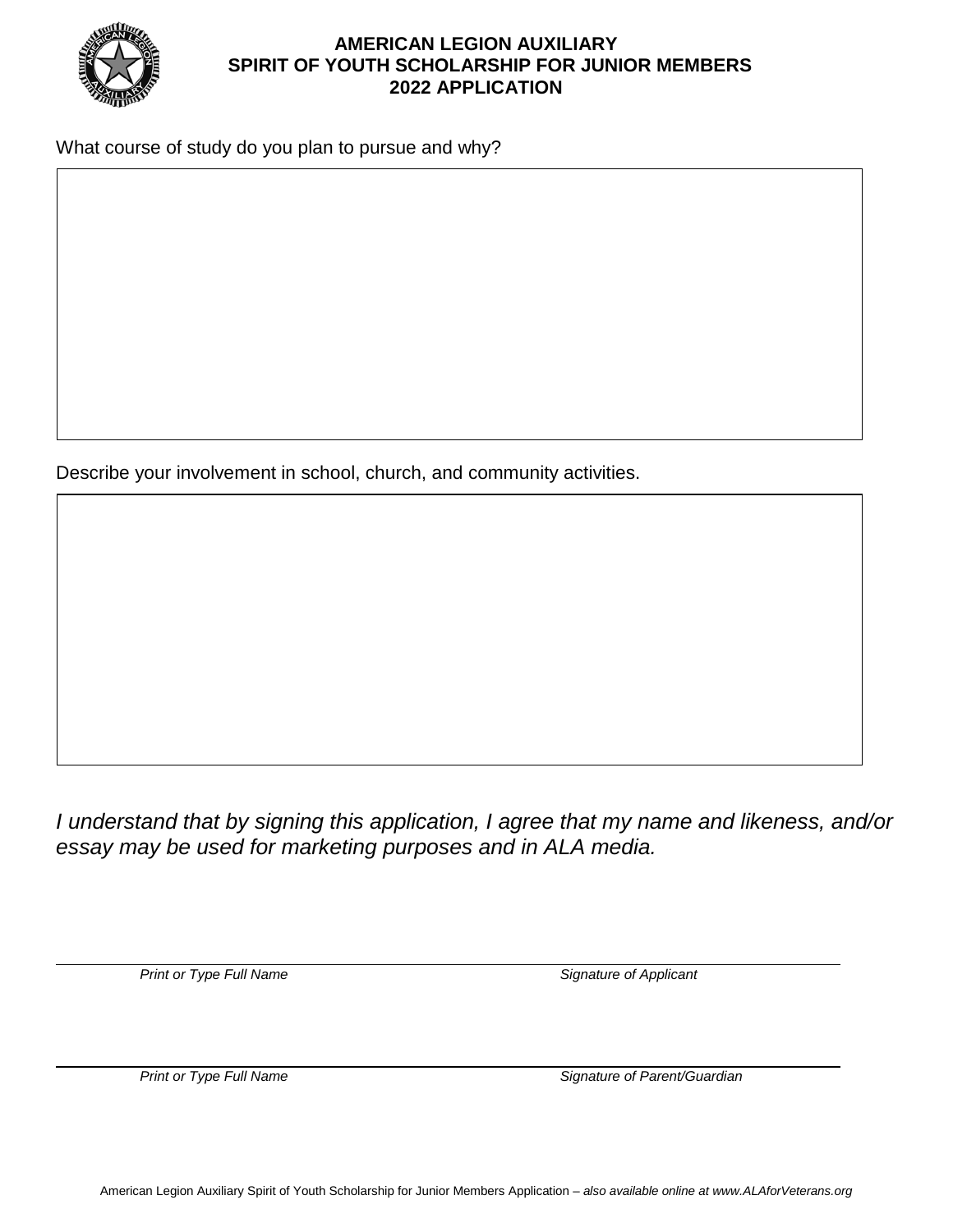

What course of study do you plan to pursue and why?

Describe your involvement in school, church, and community activities.

*I understand that by signing this application, I agree that my name and likeness, and/or essay may be used for marketing purposes and in ALA media.*

 $\overline{a}$ 

 $\overline{a}$ 

*Print or Type Full Name Signature of Applicant*

*Print or Type Full Name Signature of Parent/Guardian*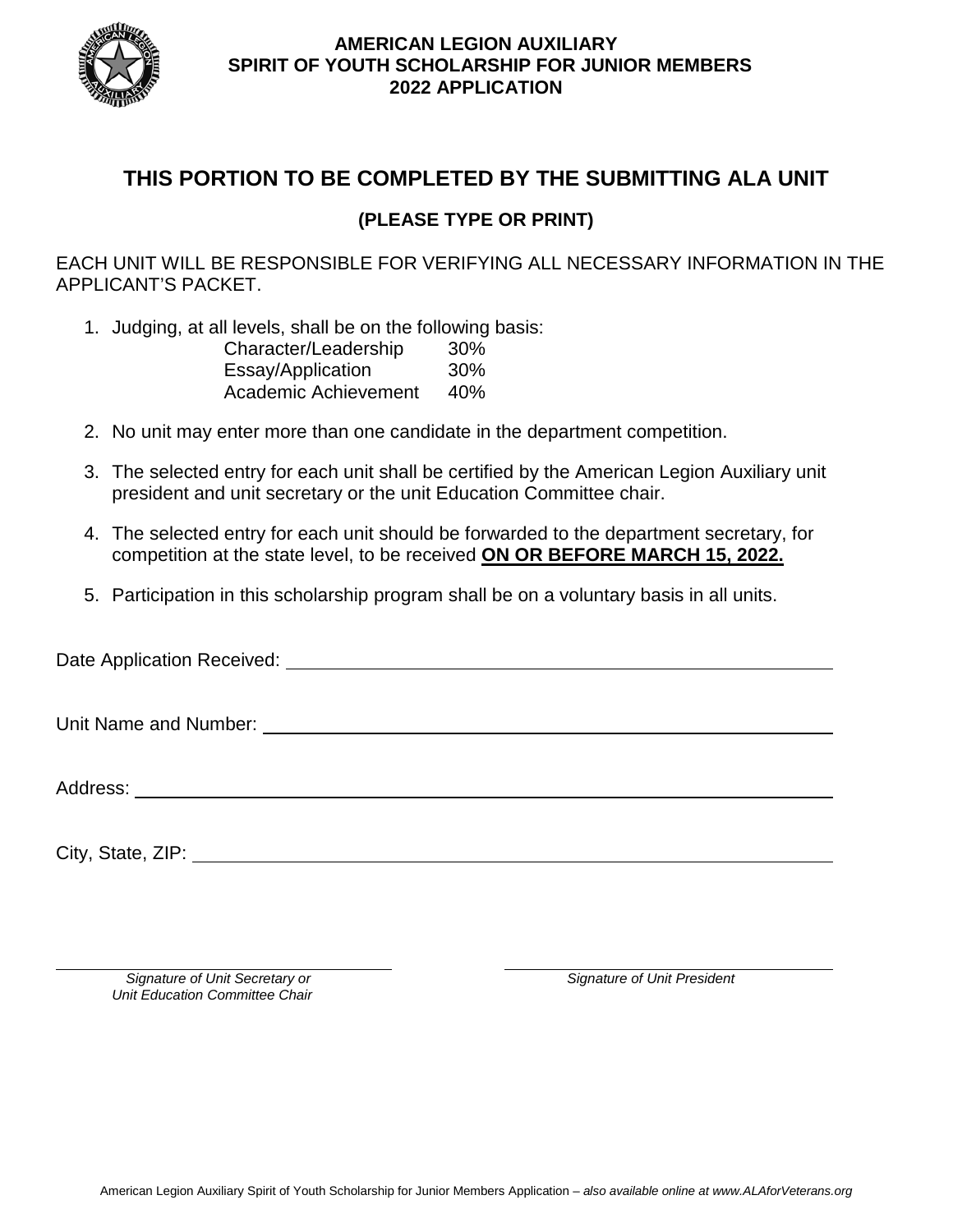

# **THIS PORTION TO BE COMPLETED BY THE SUBMITTING ALA UNIT**

# **(PLEASE TYPE OR PRINT)**

EACH UNIT WILL BE RESPONSIBLE FOR VERIFYING ALL NECESSARY INFORMATION IN THE APPLICANT'S PACKET.

1. Judging, at all levels, shall be on the following basis:

| Character/Leadership        | 30% |
|-----------------------------|-----|
| Essay/Application           | 30% |
| <b>Academic Achievement</b> | 40% |

- 2. No unit may enter more than one candidate in the department competition.
- 3. The selected entry for each unit shall be certified by the American Legion Auxiliary unit president and unit secretary or the unit Education Committee chair.
- 4. The selected entry for each unit should be forwarded to the department secretary, for competition at the state level, to be received **ON OR BEFORE MARCH 15, 2022.**
- 5. Participation in this scholarship program shall be on a voluntary basis in all units.

Date Application Received: **Example 2018** 

Unit Name and Number:

Address:

City, State, ZIP:

*Unit Education Committee Chair*

*Signature of Unit Secretary or Signature of Unit President*